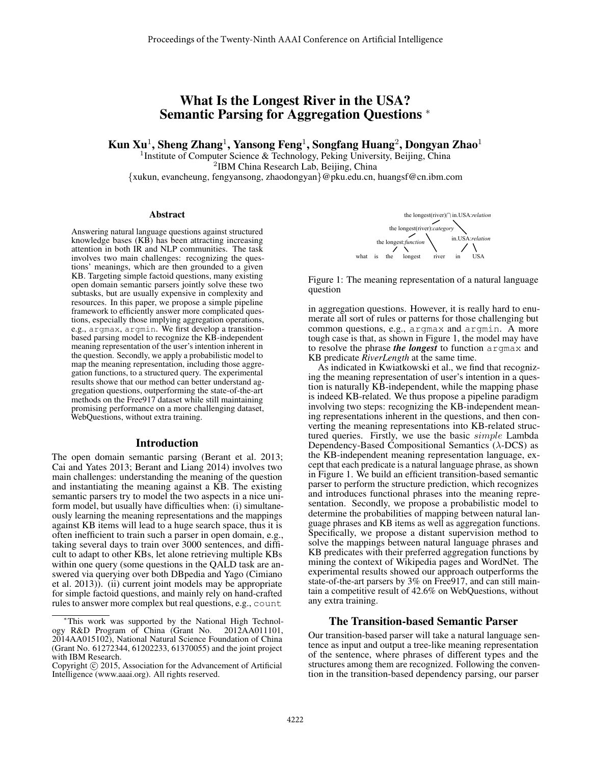# What Is the Longest River in the USA? Semantic Parsing for Aggregation Questions <sup>∗</sup>

Kun Xu<sup>1</sup>, Sheng Zhang<sup>1</sup>, Yansong Feng<sup>1</sup>, Songfang Huang<sup>2</sup>, Dongyan Zhao<sup>1</sup>

<sup>1</sup> Institute of Computer Science & Technology, Peking University, Beijing, China 2 IBM China Research Lab, Beijing, China {xukun, evancheung, fengyansong, zhaodongyan}@pku.edu.cn, huangsf@cn.ibm.com

#### Abstract

Answering natural language questions against structured knowledge bases (KB) has been attracting increasing attention in both IR and NLP communities. The task involves two main challenges: recognizing the questions' meanings, which are then grounded to a given KB. Targeting simple factoid questions, many existing open domain semantic parsers jointly solve these two subtasks, but are usually expensive in complexity and resources. In this paper, we propose a simple pipeline framework to efficiently answer more complicated questions, especially those implying aggregation operations, e.g., argmax, argmin. We first develop a transitionbased parsing model to recognize the KB-independent meaning representation of the user's intention inherent in the question. Secondly, we apply a probabilistic model to map the meaning representation, including those aggregation functions, to a structured query. The experimental results showe that our method can better understand aggregation questions, outperforming the state-of-the-art methods on the Free917 dataset while still maintaining promising performance on a more challenging dataset, WebQuestions, without extra training.

#### Introduction

The open domain semantic parsing (Berant et al. 2013; Cai and Yates 2013; Berant and Liang 2014) involves two main challenges: understanding the meaning of the question and instantiating the meaning against a KB. The existing semantic parsers try to model the two aspects in a nice uniform model, but usually have difficulties when: (i) simultaneously learning the meaning representations and the mappings against KB items will lead to a huge search space, thus it is often inefficient to train such a parser in open domain, e.g., taking several days to train over 3000 sentences, and difficult to adapt to other KBs, let alone retrieving multiple KBs within one query (some questions in the QALD task are answered via querying over both DBpedia and Yago (Cimiano et al. 2013)). (ii) current joint models may be appropriate for simple factoid questions, and mainly rely on hand-crafted rules to answer more complex but real questions, e.g., count



Figure 1: The meaning representation of a natural language question

in aggregation questions. However, it is really hard to enumerate all sort of rules or patterns for those challenging but common questions, e.g., argmax and argmin. A more tough case is that, as shown in Figure 1, the model may have to resolve the phrase *the longest* to function argmax and KB predicate *RiverLength* at the same time.

As indicated in Kwiatkowski et al., we find that recognizing the meaning representation of user's intention in a question is naturally KB-independent, while the mapping phase is indeed KB-related. We thus propose a pipeline paradigm involving two steps: recognizing the KB-independent meaning representations inherent in the questions, and then converting the meaning representations into KB-related structured queries. Firstly, we use the basic simple Lambda Dependency-Based Compositional Semantics  $(\lambda$ -DCS) as the KB-independent meaning representation language, except that each predicate is a natural language phrase, as shown in Figure 1. We build an efficient transition-based semantic parser to perform the structure prediction, which recognizes and introduces functional phrases into the meaning representation. Secondly, we propose a probabilistic model to determine the probabilities of mapping between natural language phrases and KB items as well as aggregation functions. Specifically, we propose a distant supervision method to solve the mappings between natural language phrases and KB predicates with their preferred aggregation functions by mining the context of Wikipedia pages and WordNet. The experimental results showed our approach outperforms the state-of-the-art parsers by 3% on Free917, and can still maintain a competitive result of 42.6% on WebQuestions, without any extra training.

# The Transition-based Semantic Parser

Our transition-based parser will take a natural language sentence as input and output a tree-like meaning representation of the sentence, where phrases of different types and the structures among them are recognized. Following the convention in the transition-based dependency parsing, our parser

<sup>∗</sup>This work was supported by the National High Technology R&D Program of China (Grant No. 2012AA011101, 2014AA015102), National Natural Science Foundation of China (Grant No. 61272344, 61202233, 61370055) and the joint project with IBM Research.

Copyright © 2015, Association for the Advancement of Artificial Intelligence (www.aaai.org). All rights reserved.